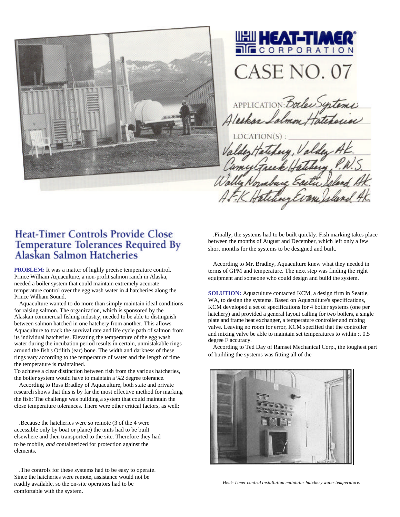



APPLICATION Bocles Systems

## **Heat-Timer Controls Provide Close** Temperature Tolerances Required By<br>Alaskan Salmon Hatcheries

**PROBLEM:** It was a matter of highly precise temperature control. Prince William Aquaculture, a non-profit salmon ranch in Alaska, needed a boiler system that could maintain extremely accurate temperature control over the egg wash water in 4 hatcheries along the Prince William Sound.

Aquaculture wanted to do more than simply maintain ideal conditions for raising salmon. The organization, which is sponsored by the Alaskan commercial fishing industry, needed to be able to distinguish between salmon hatched in one hatchery from another. This allows Aquaculture to track the survival rate and life cycle path of salmon from its individual hatcheries. Elevating the temperature of the egg wash water during the incubation period results in certain, unmistakable rings around the fish's Otilith (ear) bone. The width and darkness of these rings vary according to the temperature of water and the length of time the temperature is maintained.

To achieve a clear distinction between fish from the various hatcheries, the boiler system would have to maintain a %2 degree tolerance.

According to Russ Bradley of Aquaculture, both state and private research shows that this is by far the most effective method for marking the fish: The challenge was building a system that could maintain the close temperature tolerances. There were other critical factors, as well:

.Because the hatcheries were so remote (3 of the 4 were accessible only by boat or plane) the units had to be built elsewhere and then transported to the site. Therefore they had to be mobile, *and* containerized for protection against the elements.

.The controls for these systems had to be easy to operate. Since the hatcheries were remote, assistance would not be readily available, so the on-site operators had to be comfortable with the system.

.Finally, the systems had to be built quickly. Fish marking takes place between the months of August and December, which left only a few short months for the systems to be designed and built.

According to Mr. Bradley, Aquaculture knew what they needed in terms of GPM and temperature. The next step was finding the right equipment and someone who could design and build the system.

**SOLUTION:** Aquaculture contacted KCM, a design firm in Seattle, WA, to design the systems. Based on Aquaculture's specifications, KCM developed a set of specifications for 4 boiler systems (one per hatchery) and provided a general layout calling for two boilers, a single plate and frame heat exchanger, a temperature controller and mixing valve. Leaving no room for error, KCM specified that the controller and mixing valve be able to maintain set temperatures to within :t 0.5 degree F accuracy.

According to Ted Day of Ramset Mechanical Corp., the toughest part of building the systems was fitting all of the



*Heat- Timer control installation maintains hatchery water temperature.*